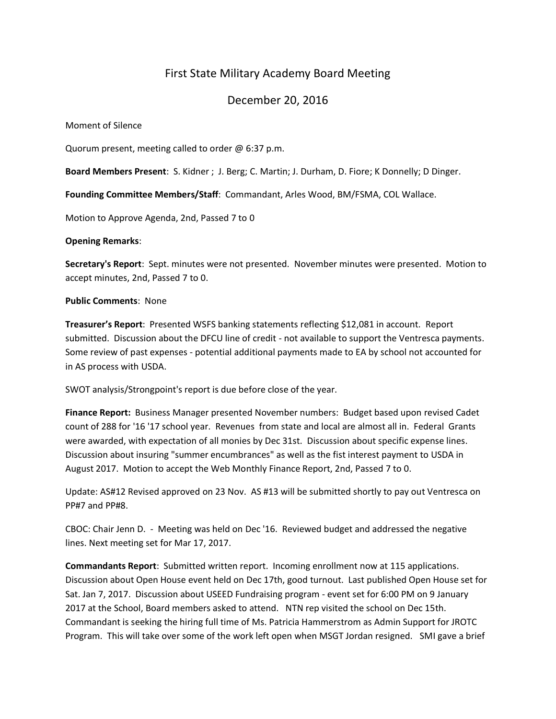# First State Military Academy Board Meeting

# December 20, 2016

Moment of Silence

Quorum present, meeting called to order @ 6:37 p.m.

**Board Members Present**: S. Kidner ; J. Berg; C. Martin; J. Durham, D. Fiore; K Donnelly; D Dinger.

**Founding Committee Members/Staff**: Commandant, Arles Wood, BM/FSMA, COL Wallace.

Motion to Approve Agenda, 2nd, Passed 7 to 0

#### **Opening Remarks**:

**Secretary's Report**: Sept. minutes were not presented. November minutes were presented. Motion to accept minutes, 2nd, Passed 7 to 0.

#### **Public Comments**: None

**Treasurer's Report**: Presented WSFS banking statements reflecting \$12,081 in account. Report submitted. Discussion about the DFCU line of credit - not available to support the Ventresca payments. Some review of past expenses - potential additional payments made to EA by school not accounted for in AS process with USDA.

SWOT analysis/Strongpoint's report is due before close of the year.

**Finance Report:** Business Manager presented November numbers: Budget based upon revised Cadet count of 288 for '16 '17 school year. Revenues from state and local are almost all in. Federal Grants were awarded, with expectation of all monies by Dec 31st. Discussion about specific expense lines. Discussion about insuring "summer encumbrances" as well as the fist interest payment to USDA in August 2017. Motion to accept the Web Monthly Finance Report, 2nd, Passed 7 to 0.

Update: AS#12 Revised approved on 23 Nov. AS #13 will be submitted shortly to pay out Ventresca on PP#7 and PP#8.

CBOC: Chair Jenn D. - Meeting was held on Dec '16. Reviewed budget and addressed the negative lines. Next meeting set for Mar 17, 2017.

**Commandants Report**: Submitted written report. Incoming enrollment now at 115 applications. Discussion about Open House event held on Dec 17th, good turnout. Last published Open House set for Sat. Jan 7, 2017. Discussion about USEED Fundraising program - event set for 6:00 PM on 9 January 2017 at the School, Board members asked to attend. NTN rep visited the school on Dec 15th. Commandant is seeking the hiring full time of Ms. Patricia Hammerstrom as Admin Support for JROTC Program. This will take over some of the work left open when MSGT Jordan resigned. SMI gave a brief